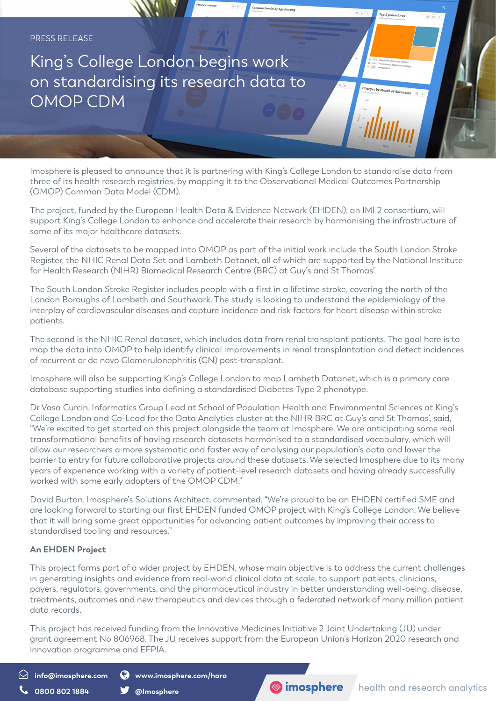

Imosphere is pleased to announce that it is partnering with King's College London to standardise data from three of its health research registries, by mapping it to the Observational Medical Outcomes Partnership (OMOP) Common Data Model (CDM).

The project, funded by the European Health Data & Evidence Network (EHDEN), an IMI 2 consortium, will support King's College London to enhance and accelerate their research by harmonising the infrastructure of some of its major healthcare datasets.

Several of the datasets to be mapped into OMOP as part of the initial work include the South London Stroke Register, the NHIC Renal Data Set and Lambeth Datanet, all of which are supported by the National Institute for Health Research (NIHR) Biomedical Research Centre (BRC) at Guy's and St Thomas'.

The South London Stroke Register includes people with a first in a lifetime stroke, covering the north of the London Boroughs of Lambeth and Southwark. The study is looking to understand the epidemiology of the interplay of cardiovascular diseases and capture incidence and risk factors for heart disease within stroke patients.

The second is the NHIC Renal dataset, which includes data from renal transplant patients. The goal here is to map the data into OMOP to help identify clinical improvements in renal transplantation and detect incidences of recurrent or de novo Glomerulonephritis (GN) post-transplant.

Imosphere will also be supporting King's College London to map Lambeth Datanet, which is a primary care database supporting studies into defining a standardised Diabetes Type 2 phenotype.

Dr Vasa Curcin, Informatics Group Lead at School of Population Health and Environmental Sciences at King's College London and Co-Lead for the Data Analytics cluster at the NIHR BRC at Guy's and St Thomas', said, "We're excited to get started on this project alongside the team at Imosphere. We are anticipating some real transformational benefits of having research datasets harmonised to a standardised vocabulary, which will allow our researchers a more systematic and faster way of analysing our population's data and lower the barrier to entry for future collaborative projects around these datasets. We selected Imosphere due to its many years of experience working with a variety of patient-level research datasets and having already successfully worked with some early adopters of the OMOP CDM."

David Burton, Imosphere's Solutions Architect, commented, "We're proud to be an EHDEN certified SME and are looking forward to starting our first EHDEN funded OMOP project with King's College London. We believe that it will bring some great opportunities for advancing patient outcomes by improving their access to standardised tooling and resources."

## **An EHDEN Project**

This project forms part of a wider project by EHDEN, whose main objective is to address the current challenges in generating insights and evidence from real-world clinical data at scale, to support patients, clinicians, payers, regulators, governments, and the pharmaceutical industry in better understanding well-being, disease, treatments, outcomes and new therapeutics and devices through a federated network of many million patient data records.

This project has received funding from the Innovative Medicines Initiative 2 Joint Undertaking (JU) under grant agreement No 806968. The JU receives support from the European Union's Horizon 2020 research and innovation programme and EFPIA.

**info@imosphere.com www.imosphere.com/hara**



**0800 802 1884 Medicine Structure of the Structure of the Structure of the Structure of the Structure of the Structure of the Okonomia of the Structure of the Structure of the Structure of the Structure of the Structure of**